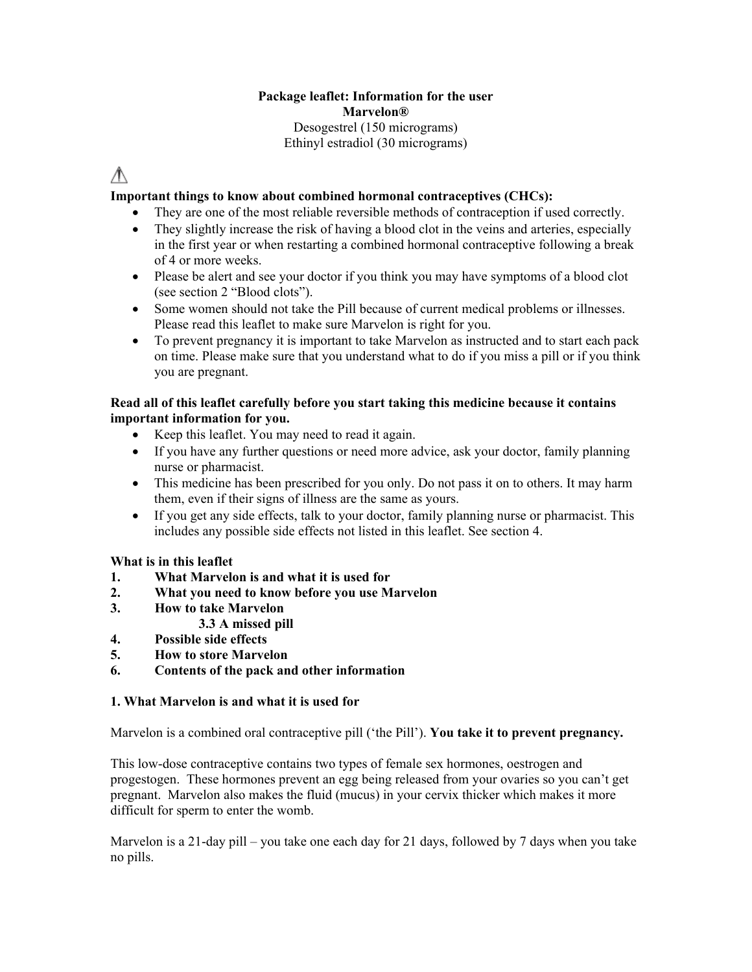# **Package leaflet: Information for the user Marvelon®** Desogestrel (150 micrograms) Ethinyl estradiol (30 micrograms)

# ∧

# **Important things to know about combined hormonal contraceptives (CHCs):**

- They are one of the most reliable reversible methods of contraception if used correctly.
- They slightly increase the risk of having a blood clot in the veins and arteries, especially in the first year or when restarting a combined hormonal contraceptive following a break of 4 or more weeks.
- Please be alert and see your doctor if you think you may have symptoms of a blood clot (see section 2 "Blood clots").
- Some women should not take the Pill because of current medical problems or illnesses. Please read this leaflet to make sure Marvelon is right for you.
- To prevent pregnancy it is important to take Marvelon as instructed and to start each pack on time. Please make sure that you understand what to do if you miss a pill or if you think you are pregnant.

# **Read all of this leaflet carefully before you start taking this medicine because it contains important information for you.**

- Keep this leaflet. You may need to read it again.
- If you have any further questions or need more advice, ask your doctor, family planning nurse or pharmacist.
- This medicine has been prescribed for you only. Do not pass it on to others. It may harm them, even if their signs of illness are the same as yours.
- If you get any side effects, talk to your doctor, family planning nurse or pharmacist. This includes any possible side effects not listed in this leaflet. See section 4.

# **What is in this leaflet**

- **1. What Marvelon is and what it is used for**
- **2. What you need to know before you use Marvelon**
- **3. How to take Marvelon**
	- **3.3 A missed pill**
- **4. Possible side effects**
- **5. How to store Marvelon**
- **6. Contents of the pack and other information**

# **1. What Marvelon is and what it is used for**

Marvelon is a combined oral contraceptive pill ('the Pill'). **You take it to prevent pregnancy.**

This low-dose contraceptive contains two types of female sex hormones, oestrogen and progestogen. These hormones prevent an egg being released from your ovaries so you can't get pregnant. Marvelon also makes the fluid (mucus) in your cervix thicker which makes it more difficult for sperm to enter the womb.

Marvelon is a 21-day pill – you take one each day for 21 days, followed by 7 days when you take no pills.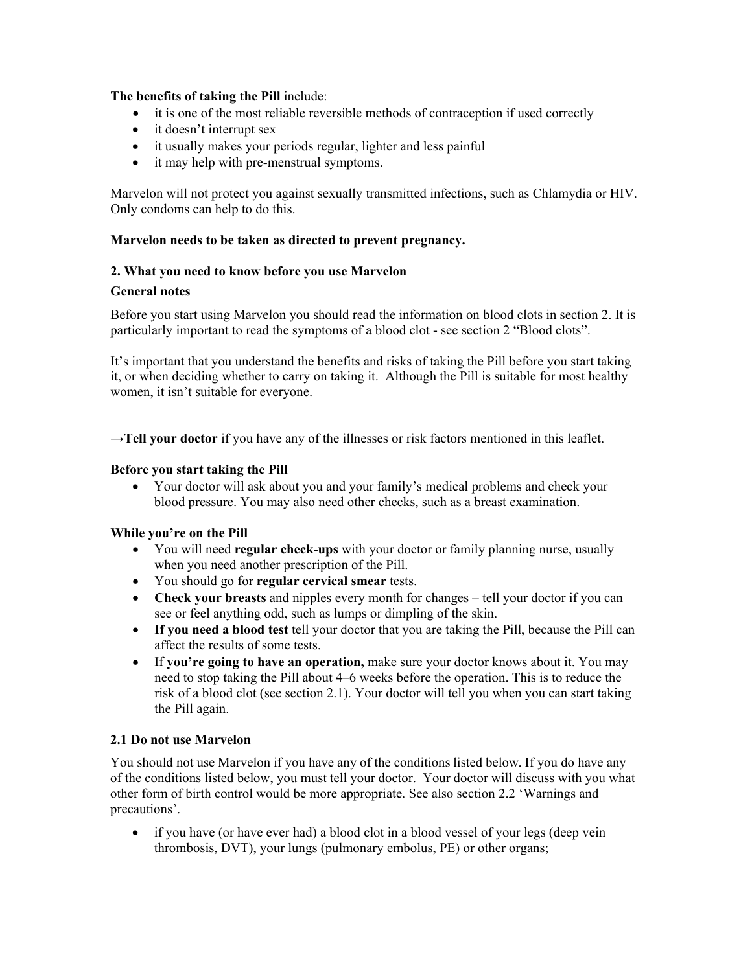# **The benefits of taking the Pill** include:

- it is one of the most reliable reversible methods of contraception if used correctly
- it doesn't interrupt sex
- it usually makes your periods regular, lighter and less painful
- it may help with pre-menstrual symptoms.

Marvelon will not protect you against sexually transmitted infections, such as Chlamydia or HIV. Only condoms can help to do this.

### **Marvelon needs to be taken as directed to prevent pregnancy.**

### **2. What you need to know before you use Marvelon**

#### **General notes**

Before you start using Marvelon you should read the information on blood clots in section 2. It is particularly important to read the symptoms of a blood clot - see section 2 "Blood clots".

It's important that you understand the benefits and risks of taking the Pill before you start taking it, or when deciding whether to carry on taking it. Although the Pill is suitable for most healthy women, it isn't suitable for everyone.

→**Tell your doctor** if you have any of the illnesses or risk factors mentioned in this leaflet.

#### **Before you start taking the Pill**

• Your doctor will ask about you and your family's medical problems and check your blood pressure. You may also need other checks, such as a breast examination.

# **While you're on the Pill**

- You will need **regular check-ups** with your doctor or family planning nurse, usually when you need another prescription of the Pill.
- You should go for **regular cervical smear** tests.
- **Check your breasts** and nipples every month for changes tell your doctor if you can see or feel anything odd, such as lumps or dimpling of the skin.
- **If you need a blood test** tell your doctor that you are taking the Pill, because the Pill can affect the results of some tests.
- If **you're going to have an operation,** make sure your doctor knows about it. You may need to stop taking the Pill about 4–6 weeks before the operation. This is to reduce the risk of a blood clot (see section 2.1). Your doctor will tell you when you can start taking the Pill again.

#### **2.1 Do not use Marvelon**

You should not use Marvelon if you have any of the conditions listed below. If you do have any of the conditions listed below, you must tell your doctor. Your doctor will discuss with you what other form of birth control would be more appropriate. See also section 2.2 'Warnings and precautions'.

• if you have (or have ever had) a blood clot in a blood vessel of your legs (deep vein thrombosis, DVT), your lungs (pulmonary embolus, PE) or other organs;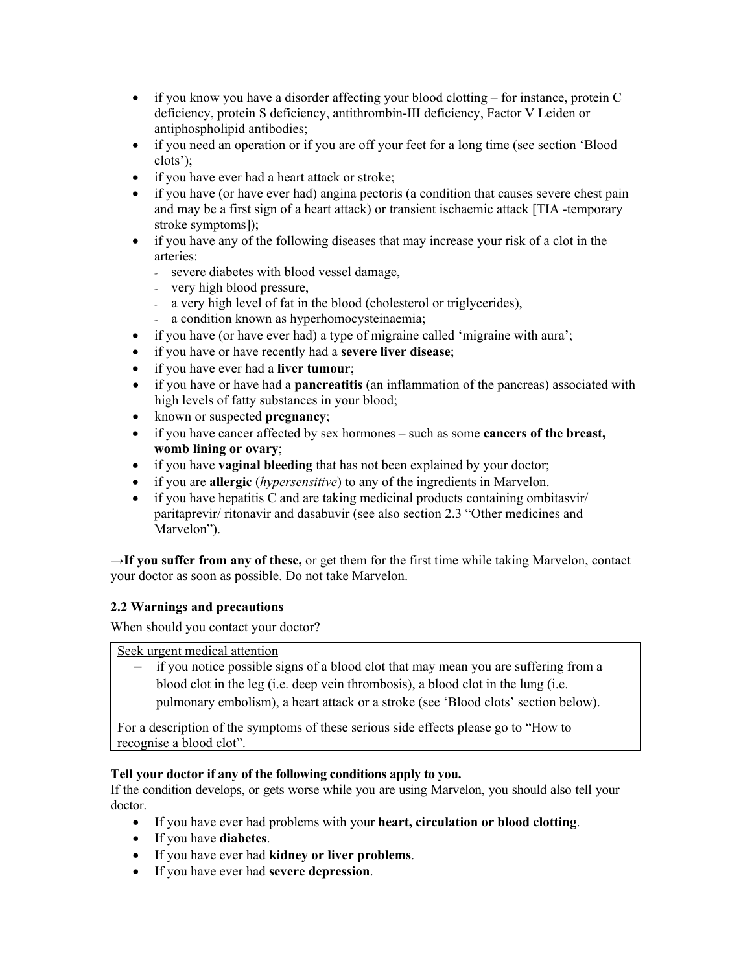- if you know you have a disorder affecting your blood clotting for instance, protein C deficiency, protein S deficiency, antithrombin-III deficiency, Factor V Leiden or antiphospholipid antibodies;
- if you need an operation or if you are off your feet for a long time (see section 'Blood clots');
- if you have ever had a heart attack or stroke;
- if you have (or have ever had) angina pectoris (a condition that causes severe chest pain and may be a first sign of a heart attack) or transient ischaemic attack [TIA -temporary stroke symptoms]);
- if you have any of the following diseases that may increase your risk of a clot in the arteries:
	- severe diabetes with blood vessel damage,
	- very high blood pressure,
	- a very high level of fat in the blood (cholesterol or triglycerides),
	- a condition known as hyperhomocysteinaemia;
- if you have (or have ever had) a type of migraine called 'migraine with aura';
- if you have or have recently had a **severe liver disease**;
- if you have ever had a **liver tumour**;
- if you have or have had a **pancreatitis** (an inflammation of the pancreas) associated with high levels of fatty substances in your blood;
- known or suspected **pregnancy**;
- if you have cancer affected by sex hormones such as some **cancers of the breast, womb lining or ovary**;
- if you have **vaginal bleeding** that has not been explained by your doctor;
- if you are **allergic** (*hypersensitive*) to any of the ingredients in Marvelon.
- if you have hepatitis C and are taking medicinal products containing ombitasvir/ paritaprevir/ ritonavir and dasabuvir (see also section 2.3 "Other medicines and Marvelon").

→**If you suffer from any of these,** or get them for the first time while taking Marvelon, contact your doctor as soon as possible. Do not take Marvelon.

# **2.2 Warnings and precautions**

When should you contact your doctor?

Seek urgent medical attention

– if you notice possible signs of a blood clot that may mean you are suffering from a blood clot in the leg (i.e. deep vein thrombosis), a blood clot in the lung (i.e.

pulmonary embolism), a heart attack or a stroke (see 'Blood clots' section below).

For a description of the symptoms of these serious side effects please go to "How to recognise a blood clot".

# **Tell your doctor if any of the following conditions apply to you.**

If the condition develops, or gets worse while you are using Marvelon, you should also tell your doctor.

- If you have ever had problems with your **heart, circulation or blood clotting**.
- If you have **diabetes**.
- If you have ever had **kidney or liver problems**.
- If you have ever had **severe depression**.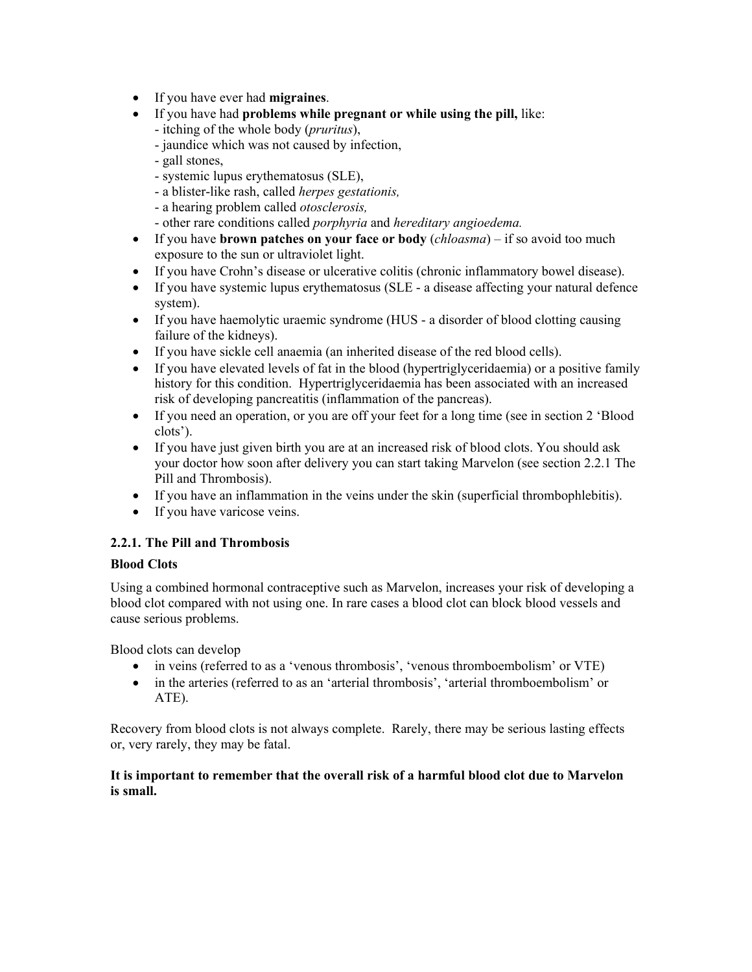- If you have ever had **migraines**.
- If you have had **problems while pregnant or while using the pill,** like:
	- itching of the whole body (*pruritus*),
	- jaundice which was not caused by infection,
	- gall stones,
	- systemic lupus erythematosus (SLE),
	- a blister-like rash, called *herpes gestationis,*
	- a hearing problem called *otosclerosis,*
	- other rare conditions called *porphyria* and *hereditary angioedema.*
- If you have **brown patches on your face or body** (*chloasma*) if so avoid too much exposure to the sun or ultraviolet light.
- If you have Crohn's disease or ulcerative colitis (chronic inflammatory bowel disease).
- If you have systemic lupus erythematosus (SLE a disease affecting your natural defence system).
- If you have haemolytic uraemic syndrome (HUS a disorder of blood clotting causing failure of the kidneys).
- If you have sickle cell anaemia (an inherited disease of the red blood cells).
- If you have elevated levels of fat in the blood (hypertriglyceridaemia) or a positive family history for this condition. Hypertriglyceridaemia has been associated with an increased risk of developing pancreatitis (inflammation of the pancreas).
- If you need an operation, or you are off your feet for a long time (see in section 2 'Blood clots').
- If you have just given birth you are at an increased risk of blood clots. You should ask your doctor how soon after delivery you can start taking Marvelon (see section 2.2.1 The Pill and Thrombosis).
- If you have an inflammation in the veins under the skin (superficial thrombophlebitis).
- If you have varicose veins.

# **2.2.1. The Pill and Thrombosis**

# **Blood Clots**

Using a combined hormonal contraceptive such as Marvelon, increases your risk of developing a blood clot compared with not using one. In rare cases a blood clot can block blood vessels and cause serious problems.

Blood clots can develop

- in veins (referred to as a 'venous thrombosis', 'venous thromboembolism' or VTE)
- in the arteries (referred to as an 'arterial thrombosis', 'arterial thromboembolism' or ATE).

Recovery from blood clots is not always complete. Rarely, there may be serious lasting effects or, very rarely, they may be fatal.

# **It is important to remember that the overall risk of a harmful blood clot due to Marvelon is small.**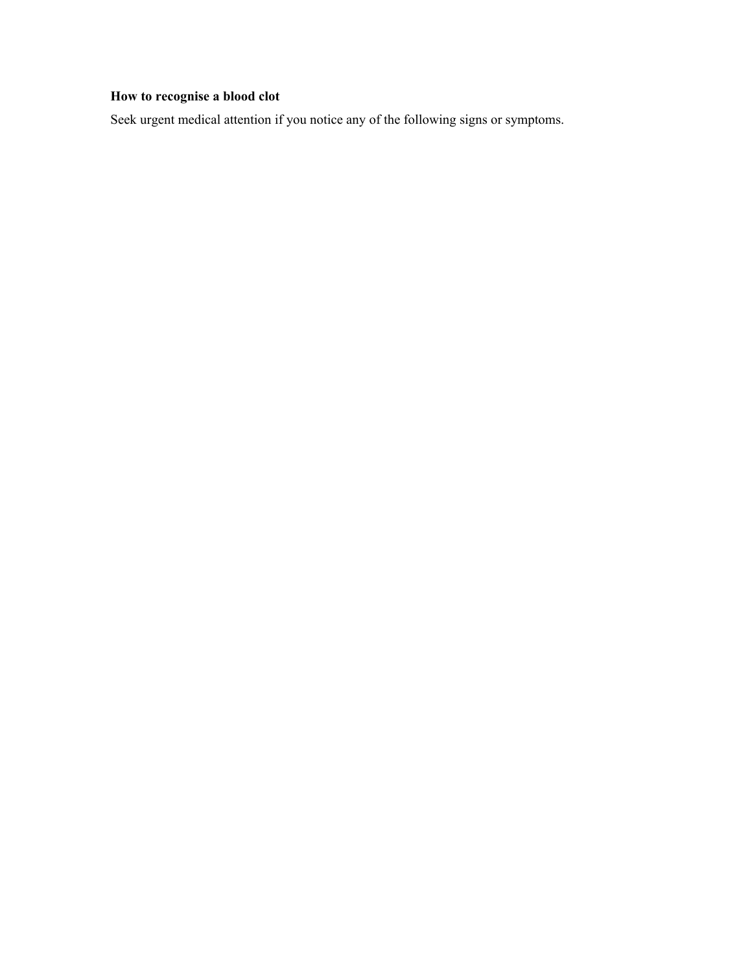# **How to recognise a blood clot**

Seek urgent medical attention if you notice any of the following signs or symptoms.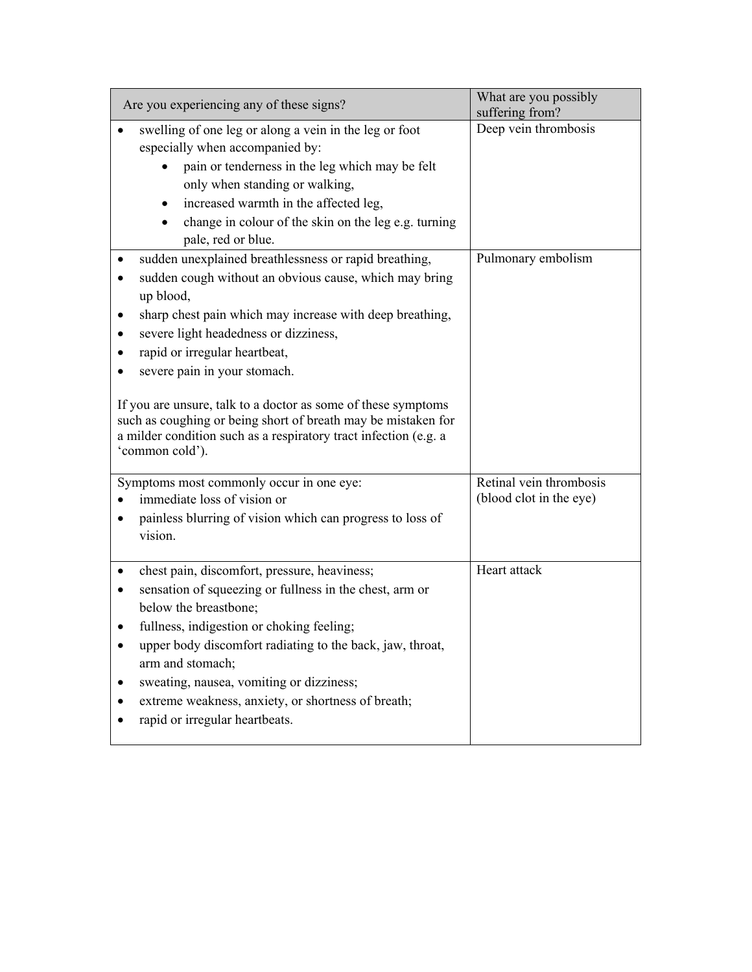| Are you experiencing any of these signs?                                                                                                                                                                                                                                                                                                                                                                                                                                                                                    | What are you possibly<br>suffering from?           |
|-----------------------------------------------------------------------------------------------------------------------------------------------------------------------------------------------------------------------------------------------------------------------------------------------------------------------------------------------------------------------------------------------------------------------------------------------------------------------------------------------------------------------------|----------------------------------------------------|
| swelling of one leg or along a vein in the leg or foot<br>especially when accompanied by:<br>pain or tenderness in the leg which may be felt<br>only when standing or walking,<br>increased warmth in the affected leg,<br>$\bullet$<br>change in colour of the skin on the leg e.g. turning<br>pale, red or blue.                                                                                                                                                                                                          | Deep vein thrombosis                               |
| sudden unexplained breathlessness or rapid breathing,<br>sudden cough without an obvious cause, which may bring<br>up blood,<br>sharp chest pain which may increase with deep breathing,<br>severe light headedness or dizziness,<br>rapid or irregular heartbeat,<br>severe pain in your stomach.<br>If you are unsure, talk to a doctor as some of these symptoms<br>such as coughing or being short of breath may be mistaken for<br>a milder condition such as a respiratory tract infection (e.g. a<br>'common cold'). | Pulmonary embolism                                 |
| Symptoms most commonly occur in one eye:<br>immediate loss of vision or<br>painless blurring of vision which can progress to loss of<br>vision.                                                                                                                                                                                                                                                                                                                                                                             | Retinal vein thrombosis<br>(blood clot in the eye) |
| chest pain, discomfort, pressure, heaviness;<br>sensation of squeezing or fullness in the chest, arm or<br>below the breastbone;<br>fullness, indigestion or choking feeling;<br>upper body discomfort radiating to the back, jaw, throat,<br>arm and stomach;<br>sweating, nausea, vomiting or dizziness;<br>extreme weakness, anxiety, or shortness of breath;<br>rapid or irregular heartbeats.                                                                                                                          | Heart attack                                       |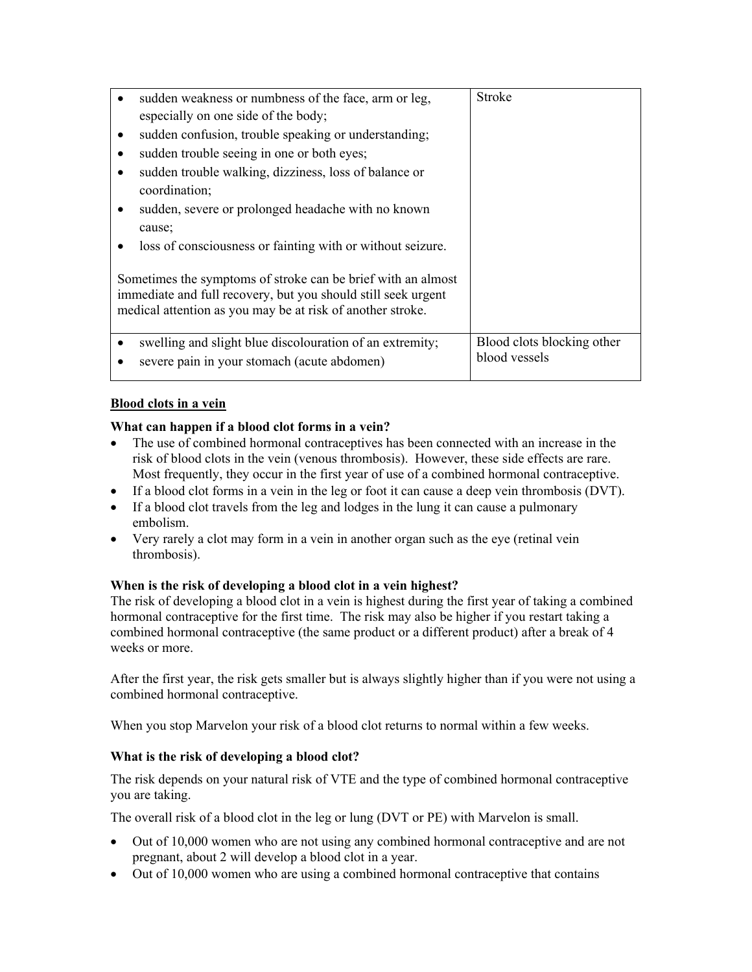|   | sudden weakness or numbness of the face, arm or leg,                                                                                                                                        | Stroke                     |
|---|---------------------------------------------------------------------------------------------------------------------------------------------------------------------------------------------|----------------------------|
|   | especially on one side of the body;                                                                                                                                                         |                            |
| ٠ | sudden confusion, trouble speaking or understanding;                                                                                                                                        |                            |
|   | sudden trouble seeing in one or both eyes;                                                                                                                                                  |                            |
|   | sudden trouble walking, dizziness, loss of balance or                                                                                                                                       |                            |
|   | coordination;                                                                                                                                                                               |                            |
|   | sudden, severe or prolonged headache with no known                                                                                                                                          |                            |
|   | cause;                                                                                                                                                                                      |                            |
|   | loss of consciousness or fainting with or without seizure.                                                                                                                                  |                            |
|   | Sometimes the symptoms of stroke can be brief with an almost<br>immediate and full recovery, but you should still seek urgent<br>medical attention as you may be at risk of another stroke. |                            |
|   | swelling and slight blue discolouration of an extremity;                                                                                                                                    | Blood clots blocking other |
|   | severe pain in your stomach (acute abdomen)                                                                                                                                                 |                            |
|   |                                                                                                                                                                                             | blood vessels              |

# **Blood clots in a vein**

# **What can happen if a blood clot forms in a vein?**

- The use of combined hormonal contraceptives has been connected with an increase in the risk of blood clots in the vein (venous thrombosis). However, these side effects are rare. Most frequently, they occur in the first year of use of a combined hormonal contraceptive.
- If a blood clot forms in a vein in the leg or foot it can cause a deep vein thrombosis (DVT).
- If a blood clot travels from the leg and lodges in the lung it can cause a pulmonary embolism.
- Very rarely a clot may form in a vein in another organ such as the eye (retinal vein thrombosis).

# **When is the risk of developing a blood clot in a vein highest?**

The risk of developing a blood clot in a vein is highest during the first year of taking a combined hormonal contraceptive for the first time. The risk may also be higher if you restart taking a combined hormonal contraceptive (the same product or a different product) after a break of 4 weeks or more.

After the first year, the risk gets smaller but is always slightly higher than if you were not using a combined hormonal contraceptive.

When you stop Marvelon your risk of a blood clot returns to normal within a few weeks.

# **What is the risk of developing a blood clot?**

The risk depends on your natural risk of VTE and the type of combined hormonal contraceptive you are taking.

The overall risk of a blood clot in the leg or lung (DVT or PE) with Marvelon is small.

- Out of 10,000 women who are not using any combined hormonal contraceptive and are not pregnant, about 2 will develop a blood clot in a year.
- Out of 10,000 women who are using a combined hormonal contraceptive that contains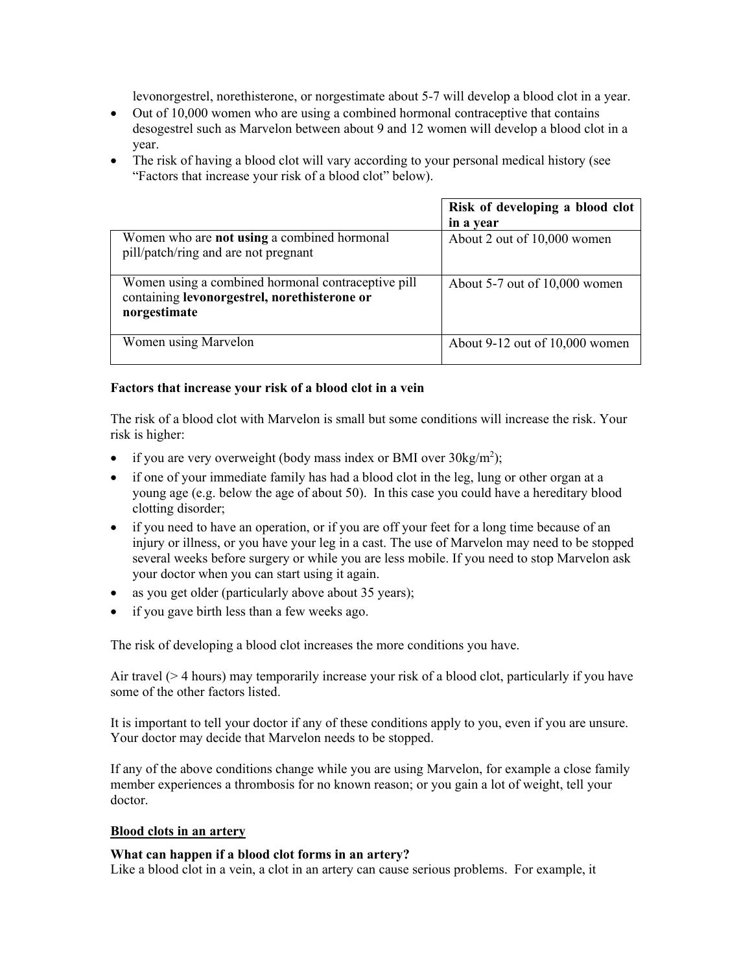levonorgestrel, norethisterone, or norgestimate about 5-7 will develop a blood clot in a year.

- Out of 10,000 women who are using a combined hormonal contraceptive that contains desogestrel such as Marvelon between about 9 and 12 women will develop a blood clot in a year.
- The risk of having a blood clot will vary according to your personal medical history (see "Factors that increase your risk of a blood clot" below).

|                                                                                                                    | Risk of developing a blood clot<br>in a year |
|--------------------------------------------------------------------------------------------------------------------|----------------------------------------------|
| Women who are <b>not using</b> a combined hormonal<br>pill/patch/ring and are not pregnant                         | About 2 out of 10,000 women                  |
| Women using a combined hormonal contraceptive pill<br>containing levonorgestrel, norethisterone or<br>norgestimate | About $5-7$ out of $10,000$ women            |
| Women using Marvelon                                                                                               | About $9-12$ out of $10,000$ women           |

# **Factors that increase your risk of a blood clot in a vein**

The risk of a blood clot with Marvelon is small but some conditions will increase the risk. Your risk is higher:

- if you are very overweight (body mass index or BMI over  $30\text{kg/m}^2$ );
- if one of your immediate family has had a blood clot in the leg, lung or other organ at a young age (e.g. below the age of about 50). In this case you could have a hereditary blood clotting disorder;
- if you need to have an operation, or if you are off your feet for a long time because of an injury or illness, or you have your leg in a cast. The use of Marvelon may need to be stopped several weeks before surgery or while you are less mobile. If you need to stop Marvelon ask your doctor when you can start using it again.
- as you get older (particularly above about 35 years);
- if you gave birth less than a few weeks ago.

The risk of developing a blood clot increases the more conditions you have.

Air travel (> 4 hours) may temporarily increase your risk of a blood clot, particularly if you have some of the other factors listed.

It is important to tell your doctor if any of these conditions apply to you, even if you are unsure. Your doctor may decide that Marvelon needs to be stopped.

If any of the above conditions change while you are using Marvelon, for example a close family member experiences a thrombosis for no known reason; or you gain a lot of weight, tell your doctor.

# **Blood clots in an artery**

# **What can happen if a blood clot forms in an artery?**

Like a blood clot in a vein, a clot in an artery can cause serious problems. For example, it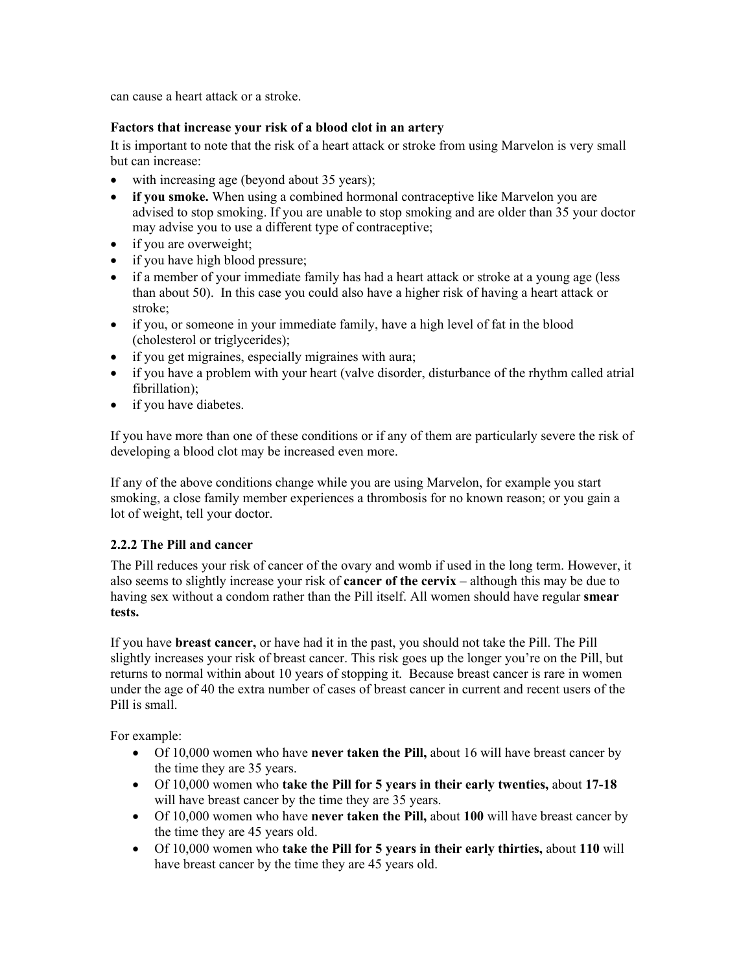can cause a heart attack or a stroke.

# **Factors that increase your risk of a blood clot in an artery**

It is important to note that the risk of a heart attack or stroke from using Marvelon is very small but can increase:

- with increasing age (beyond about 35 years);
- **if you smoke.** When using a combined hormonal contraceptive like Marvelon you are advised to stop smoking. If you are unable to stop smoking and are older than 35 your doctor may advise you to use a different type of contraceptive;
- if you are overweight;
- if you have high blood pressure;
- if a member of your immediate family has had a heart attack or stroke at a young age (less than about 50). In this case you could also have a higher risk of having a heart attack or stroke;
- if you, or someone in your immediate family, have a high level of fat in the blood (cholesterol or triglycerides);
- if you get migraines, especially migraines with aura;
- if you have a problem with your heart (valve disorder, disturbance of the rhythm called atrial fibrillation);
- if you have diabetes.

If you have more than one of these conditions or if any of them are particularly severe the risk of developing a blood clot may be increased even more.

If any of the above conditions change while you are using Marvelon, for example you start smoking, a close family member experiences a thrombosis for no known reason; or you gain a lot of weight, tell your doctor.

# **2.2.2 The Pill and cancer**

The Pill reduces your risk of cancer of the ovary and womb if used in the long term. However, it also seems to slightly increase your risk of **cancer of the cervix** – although this may be due to having sex without a condom rather than the Pill itself. All women should have regular **smear tests.**

If you have **breast cancer,** or have had it in the past, you should not take the Pill. The Pill slightly increases your risk of breast cancer. This risk goes up the longer you're on the Pill, but returns to normal within about 10 years of stopping it. Because breast cancer is rare in women under the age of 40 the extra number of cases of breast cancer in current and recent users of the Pill is small.

For example:

- Of 10,000 women who have **never taken the Pill,** about 16 will have breast cancer by the time they are 35 years.
- Of 10,000 women who **take the Pill for 5 years in their early twenties,** about **17-18**  will have breast cancer by the time they are 35 years.
- Of 10,000 women who have **never taken the Pill,** about **100** will have breast cancer by the time they are 45 years old.
- Of 10,000 women who **take the Pill for 5 years in their early thirties,** about **110** will have breast cancer by the time they are 45 years old.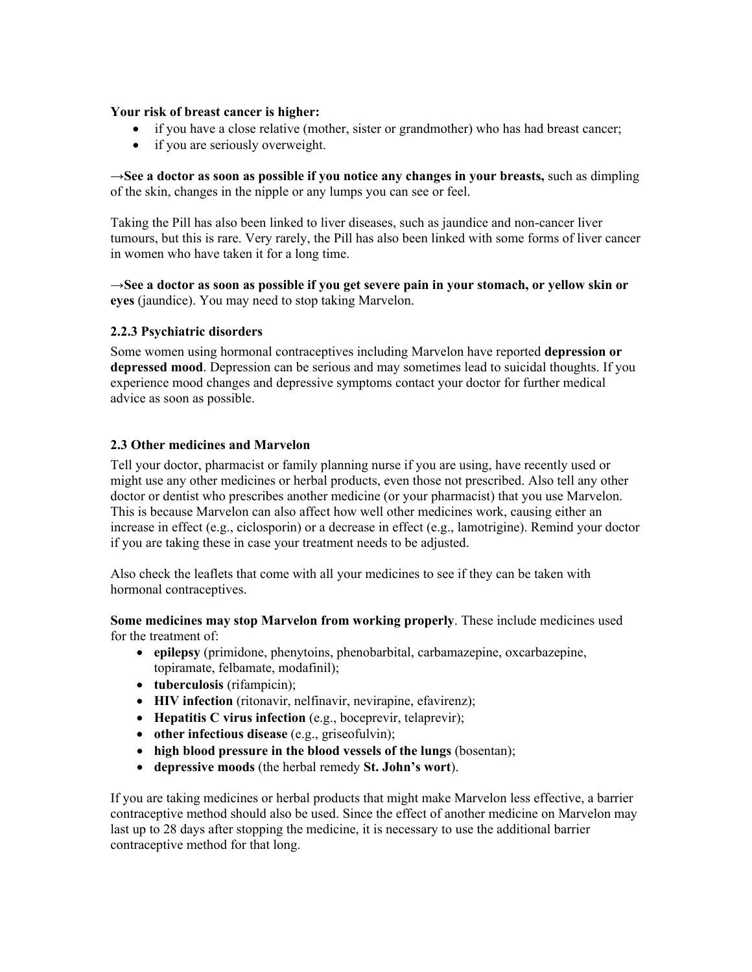# **Your risk of breast cancer is higher:**

- if you have a close relative (mother, sister or grandmother) who has had breast cancer;
- if you are seriously overweight.

→**See a doctor as soon as possible if you notice any changes in your breasts,** such as dimpling of the skin, changes in the nipple or any lumps you can see or feel.

Taking the Pill has also been linked to liver diseases, such as jaundice and non-cancer liver tumours, but this is rare. Very rarely, the Pill has also been linked with some forms of liver cancer in women who have taken it for a long time.

→**See a doctor as soon as possible if you get severe pain in your stomach, or yellow skin or eyes** (jaundice). You may need to stop taking Marvelon.

# **2.2.3 Psychiatric disorders**

Some women using hormonal contraceptives including Marvelon have reported **depression or depressed mood**. Depression can be serious and may sometimes lead to suicidal thoughts. If you experience mood changes and depressive symptoms contact your doctor for further medical advice as soon as possible.

#### **2.3 Other medicines and Marvelon**

Tell your doctor, pharmacist or family planning nurse if you are using, have recently used or might use any other medicines or herbal products, even those not prescribed. Also tell any other doctor or dentist who prescribes another medicine (or your pharmacist) that you use Marvelon. This is because Marvelon can also affect how well other medicines work, causing either an increase in effect (e.g., ciclosporin) or a decrease in effect (e.g., lamotrigine). Remind your doctor if you are taking these in case your treatment needs to be adjusted.

Also check the leaflets that come with all your medicines to see if they can be taken with hormonal contraceptives.

**Some medicines may stop Marvelon from working properly**. These include medicines used for the treatment of:

- **epilepsy** (primidone, phenytoins, phenobarbital, carbamazepine, oxcarbazepine, topiramate, felbamate, modafinil);
- **tuberculosis** (rifampicin);
- **HIV infection** (ritonavir, nelfinavir, nevirapine, efavirenz);
- **Hepatitis C virus infection** (e.g., boceprevir, telaprevir);
- **other infectious disease** (e.g., griseofulvin);
- **high blood pressure in the blood vessels of the lungs** (bosentan);
- **depressive moods** (the herbal remedy **St. John's wort**).

If you are taking medicines or herbal products that might make Marvelon less effective, a barrier contraceptive method should also be used. Since the effect of another medicine on Marvelon may last up to 28 days after stopping the medicine, it is necessary to use the additional barrier contraceptive method for that long.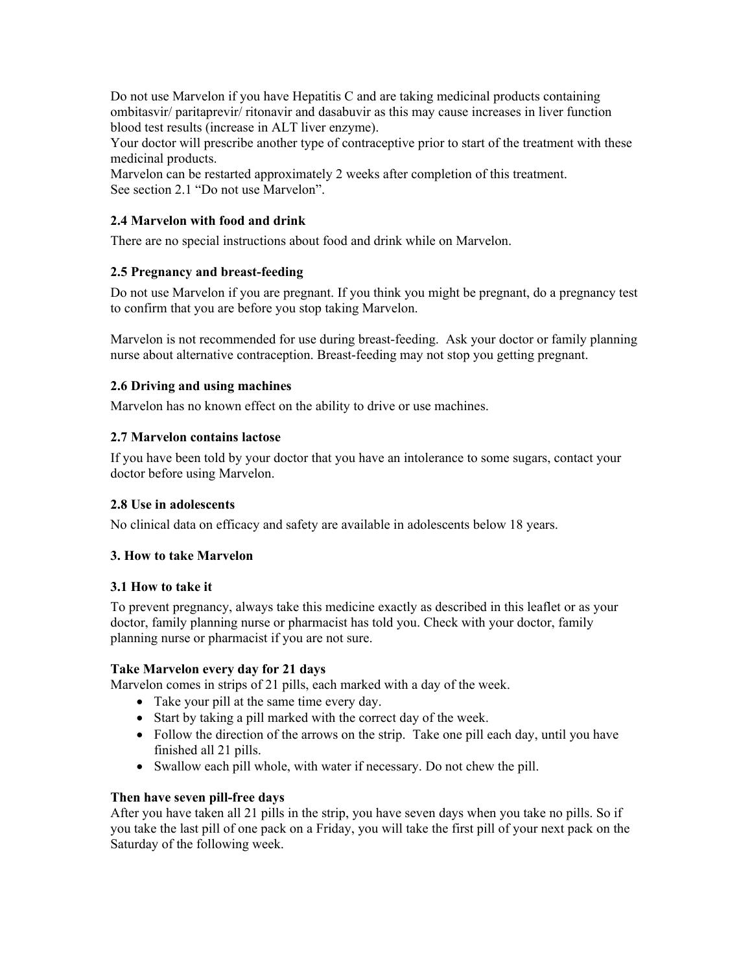Do not use Marvelon if you have Hepatitis C and are taking medicinal products containing ombitasvir/ paritaprevir/ ritonavir and dasabuvir as this may cause increases in liver function blood test results (increase in ALT liver enzyme).

Your doctor will prescribe another type of contraceptive prior to start of the treatment with these medicinal products.

Marvelon can be restarted approximately 2 weeks after completion of this treatment. See section 2.1 "Do not use Marvelon".

# **2.4 Marvelon with food and drink**

There are no special instructions about food and drink while on Marvelon.

# **2.5 Pregnancy and breast-feeding**

Do not use Marvelon if you are pregnant. If you think you might be pregnant, do a pregnancy test to confirm that you are before you stop taking Marvelon.

Marvelon is not recommended for use during breast-feeding. Ask your doctor or family planning nurse about alternative contraception. Breast-feeding may not stop you getting pregnant.

# **2.6 Driving and using machines**

Marvelon has no known effect on the ability to drive or use machines.

# **2.7 Marvelon contains lactose**

If you have been told by your doctor that you have an intolerance to some sugars, contact your doctor before using Marvelon.

# **2.8 Use in adolescents**

No clinical data on efficacy and safety are available in adolescents below 18 years.

# **3. How to take Marvelon**

# **3.1 How to take it**

To prevent pregnancy, always take this medicine exactly as described in this leaflet or as your doctor, family planning nurse or pharmacist has told you. Check with your doctor, family planning nurse or pharmacist if you are not sure.

# **Take Marvelon every day for 21 days**

Marvelon comes in strips of 21 pills, each marked with a day of the week.

- Take your pill at the same time every day.
- Start by taking a pill marked with the correct day of the week.
- Follow the direction of the arrows on the strip. Take one pill each day, until you have finished all 21 pills.
- Swallow each pill whole, with water if necessary. Do not chew the pill.

# **Then have seven pill-free days**

After you have taken all 21 pills in the strip, you have seven days when you take no pills. So if you take the last pill of one pack on a Friday, you will take the first pill of your next pack on the Saturday of the following week.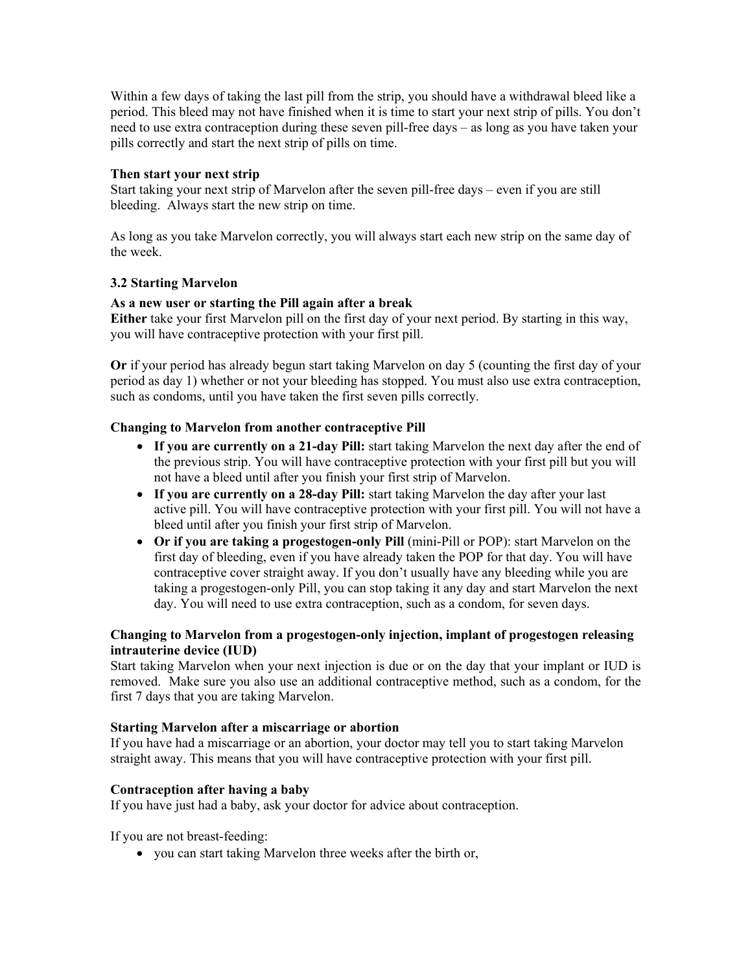Within a few days of taking the last pill from the strip, you should have a withdrawal bleed like a period. This bleed may not have finished when it is time to start your next strip of pills. You don't need to use extra contraception during these seven pill-free days – as long as you have taken your pills correctly and start the next strip of pills on time.

#### **Then start your next strip**

Start taking your next strip of Marvelon after the seven pill-free days – even if you are still bleeding. Always start the new strip on time.

As long as you take Marvelon correctly, you will always start each new strip on the same day of the week.

# **3.2 Starting Marvelon**

# **As a new user or starting the Pill again after a break**

**Either** take your first Marvelon pill on the first day of your next period. By starting in this way, you will have contraceptive protection with your first pill.

**Or** if your period has already begun start taking Marvelon on day 5 (counting the first day of your period as day 1) whether or not your bleeding has stopped. You must also use extra contraception, such as condoms, until you have taken the first seven pills correctly.

#### **Changing to Marvelon from another contraceptive Pill**

- **If you are currently on a 21-day Pill:** start taking Marvelon the next day after the end of the previous strip. You will have contraceptive protection with your first pill but you will not have a bleed until after you finish your first strip of Marvelon.
- If you are currently on a 28-day Pill: start taking Marvelon the day after your last active pill. You will have contraceptive protection with your first pill. You will not have a bleed until after you finish your first strip of Marvelon.
- **Or if you are taking a progestogen-only Pill** (mini-Pill or POP): start Marvelon on the first day of bleeding, even if you have already taken the POP for that day. You will have contraceptive cover straight away. If you don't usually have any bleeding while you are taking a progestogen-only Pill, you can stop taking it any day and start Marvelon the next day. You will need to use extra contraception, such as a condom, for seven days.

# **Changing to Marvelon from a progestogen-only injection, implant of progestogen releasing intrauterine device (IUD)**

Start taking Marvelon when your next injection is due or on the day that your implant or IUD is removed. Make sure you also use an additional contraceptive method, such as a condom, for the first 7 days that you are taking Marvelon.

#### **Starting Marvelon after a miscarriage or abortion**

If you have had a miscarriage or an abortion, your doctor may tell you to start taking Marvelon straight away. This means that you will have contraceptive protection with your first pill.

#### **Contraception after having a baby**

If you have just had a baby, ask your doctor for advice about contraception.

If you are not breast-feeding:

• you can start taking Marvelon three weeks after the birth or,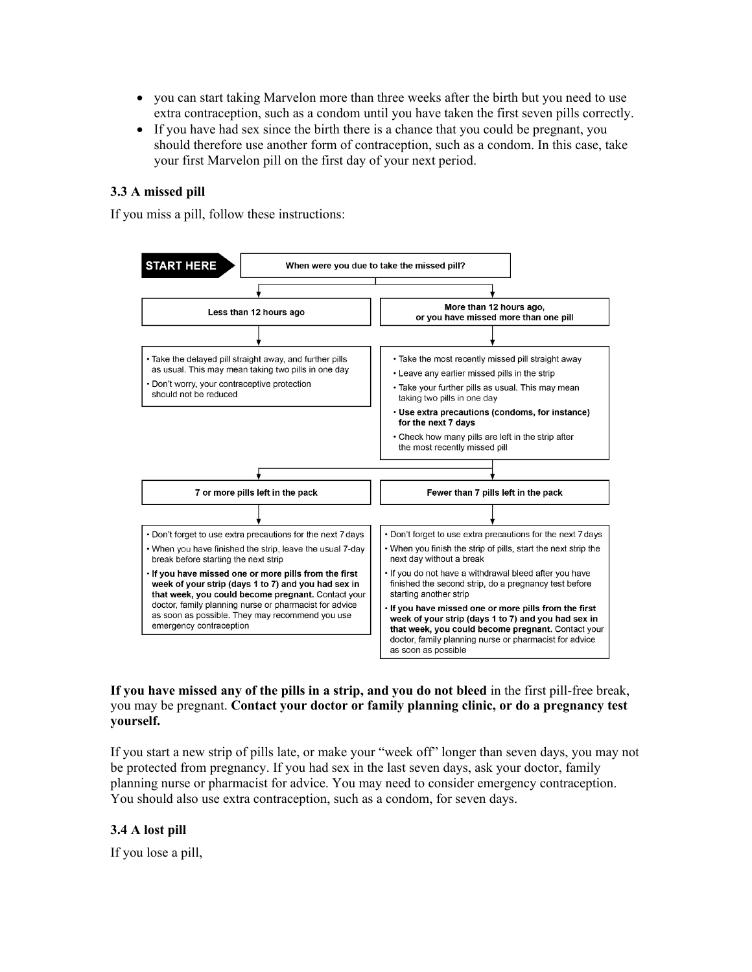- you can start taking Marvelon more than three weeks after the birth but you need to use extra contraception, such as a condom until you have taken the first seven pills correctly.
- If you have had sex since the birth there is a chance that you could be pregnant, you should therefore use another form of contraception, such as a condom. In this case, take your first Marvelon pill on the first day of your next period.

#### **3.3 A missed pill**

If you miss a pill, follow these instructions:



# **If you have missed any of the pills in a strip, and you do not bleed** in the first pill-free break, you may be pregnant. **Contact your doctor or family planning clinic, or do a pregnancy test yourself.**

If you start a new strip of pills late, or make your "week off" longer than seven days, you may not be protected from pregnancy. If you had sex in the last seven days, ask your doctor, family planning nurse or pharmacist for advice. You may need to consider emergency contraception. You should also use extra contraception, such as a condom, for seven days.

#### **3.4 A lost pill**

If you lose a pill,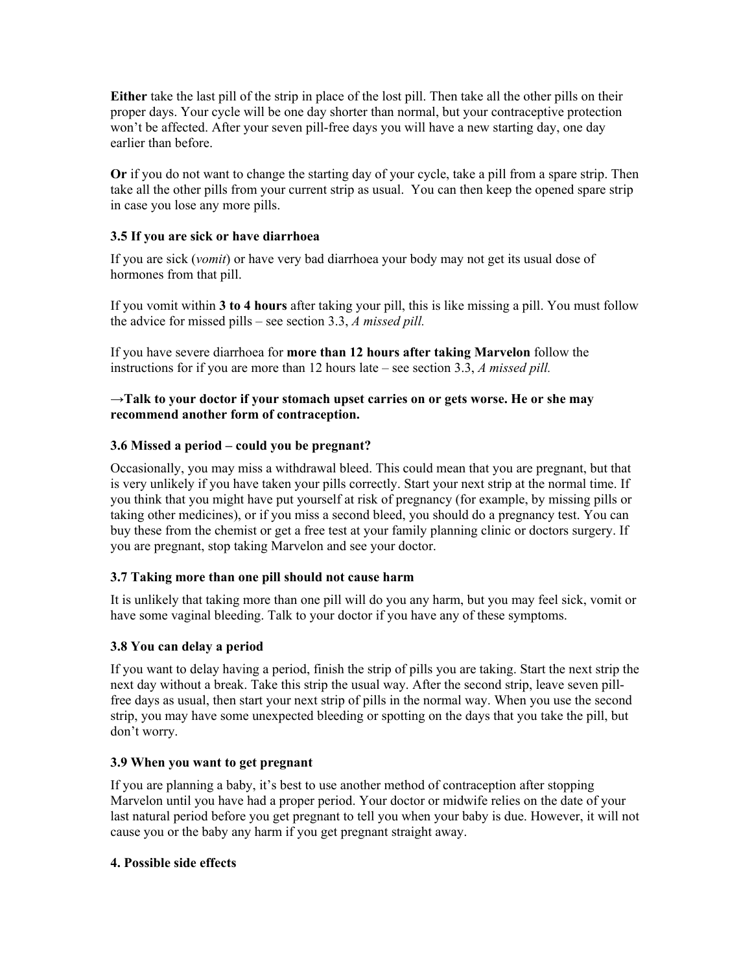**Either** take the last pill of the strip in place of the lost pill. Then take all the other pills on their proper days. Your cycle will be one day shorter than normal, but your contraceptive protection won't be affected. After your seven pill-free days you will have a new starting day, one day earlier than before.

**Or** if you do not want to change the starting day of your cycle, take a pill from a spare strip. Then take all the other pills from your current strip as usual. You can then keep the opened spare strip in case you lose any more pills.

# **3.5 If you are sick or have diarrhoea**

If you are sick (*vomit*) or have very bad diarrhoea your body may not get its usual dose of hormones from that pill.

If you vomit within **3 to 4 hours** after taking your pill, this is like missing a pill. You must follow the advice for missed pills – see section 3.3, *A missed pill.*

If you have severe diarrhoea for **more than 12 hours after taking Marvelon** follow the instructions for if you are more than 12 hours late – see section 3.3, *A missed pill.*

### →**Talk to your doctor if your stomach upset carries on or gets worse. He or she may recommend another form of contraception.**

# **3.6 Missed a period – could you be pregnant?**

Occasionally, you may miss a withdrawal bleed. This could mean that you are pregnant, but that is very unlikely if you have taken your pills correctly. Start your next strip at the normal time. If you think that you might have put yourself at risk of pregnancy (for example, by missing pills or taking other medicines), or if you miss a second bleed, you should do a pregnancy test. You can buy these from the chemist or get a free test at your family planning clinic or doctors surgery. If you are pregnant, stop taking Marvelon and see your doctor.

# **3.7 Taking more than one pill should not cause harm**

It is unlikely that taking more than one pill will do you any harm, but you may feel sick, vomit or have some vaginal bleeding. Talk to your doctor if you have any of these symptoms.

# **3.8 You can delay a period**

If you want to delay having a period, finish the strip of pills you are taking. Start the next strip the next day without a break. Take this strip the usual way. After the second strip, leave seven pillfree days as usual, then start your next strip of pills in the normal way. When you use the second strip, you may have some unexpected bleeding or spotting on the days that you take the pill, but don't worry.

# **3.9 When you want to get pregnant**

If you are planning a baby, it's best to use another method of contraception after stopping Marvelon until you have had a proper period. Your doctor or midwife relies on the date of your last natural period before you get pregnant to tell you when your baby is due. However, it will not cause you or the baby any harm if you get pregnant straight away.

#### **4. Possible side effects**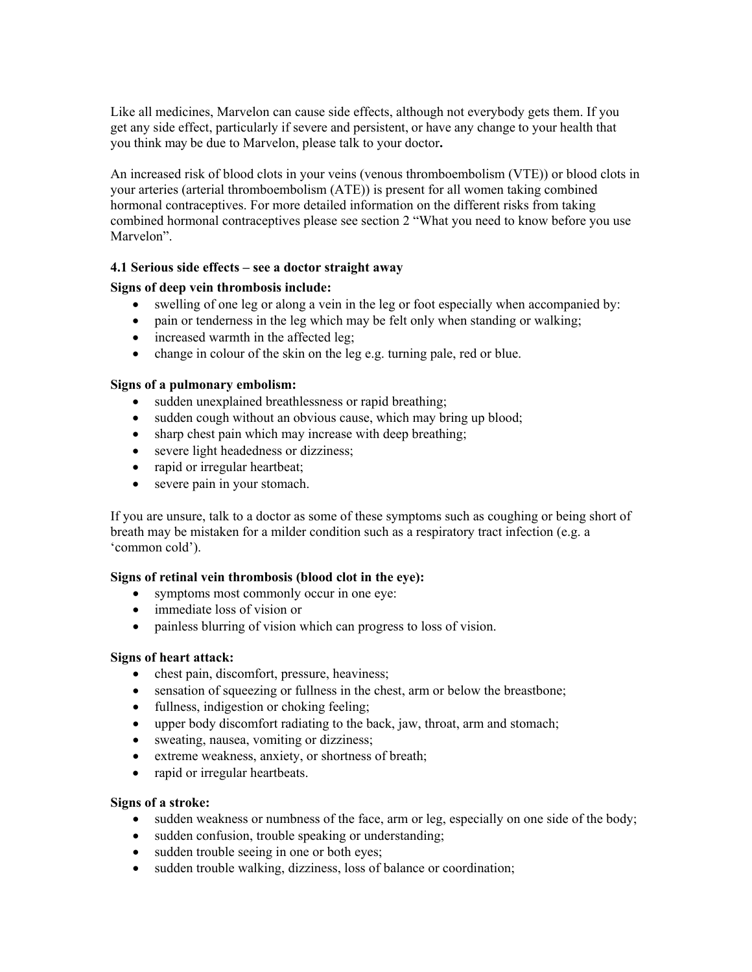Like all medicines, Marvelon can cause side effects, although not everybody gets them. If you get any side effect, particularly if severe and persistent, or have any change to your health that you think may be due to Marvelon, please talk to your doctor**.**

An increased risk of blood clots in your veins (venous thromboembolism (VTE)) or blood clots in your arteries (arterial thromboembolism (ATE)) is present for all women taking combined hormonal contraceptives. For more detailed information on the different risks from taking combined hormonal contraceptives please see section 2 "What you need to know before you use Marvelon".

# **4.1 Serious side effects – see a doctor straight away**

# **Signs of deep vein thrombosis include:**

- swelling of one leg or along a vein in the leg or foot especially when accompanied by:
- pain or tenderness in the leg which may be felt only when standing or walking;
- increased warmth in the affected leg;
- change in colour of the skin on the leg e.g. turning pale, red or blue.

# **Signs of a pulmonary embolism:**

- sudden unexplained breathlessness or rapid breathing;
- sudden cough without an obvious cause, which may bring up blood;
- sharp chest pain which may increase with deep breathing;
- severe light headedness or dizziness;
- rapid or irregular heartbeat:
- severe pain in your stomach.

If you are unsure, talk to a doctor as some of these symptoms such as coughing or being short of breath may be mistaken for a milder condition such as a respiratory tract infection (e.g. a 'common cold').

# **Signs of retinal vein thrombosis (blood clot in the eye):**

- symptoms most commonly occur in one eye:
- immediate loss of vision or
- painless blurring of vision which can progress to loss of vision.

# **Signs of heart attack:**

- chest pain, discomfort, pressure, heaviness;
- sensation of squeezing or fullness in the chest, arm or below the breastbone;
- fullness, indigestion or choking feeling;
- upper body discomfort radiating to the back, jaw, throat, arm and stomach;
- sweating, nausea, vomiting or dizziness;
- extreme weakness, anxiety, or shortness of breath;
- rapid or irregular heartbeats.

# **Signs of a stroke:**

- sudden weakness or numbness of the face, arm or leg, especially on one side of the body;
- sudden confusion, trouble speaking or understanding;
- sudden trouble seeing in one or both eyes;
- sudden trouble walking, dizziness, loss of balance or coordination;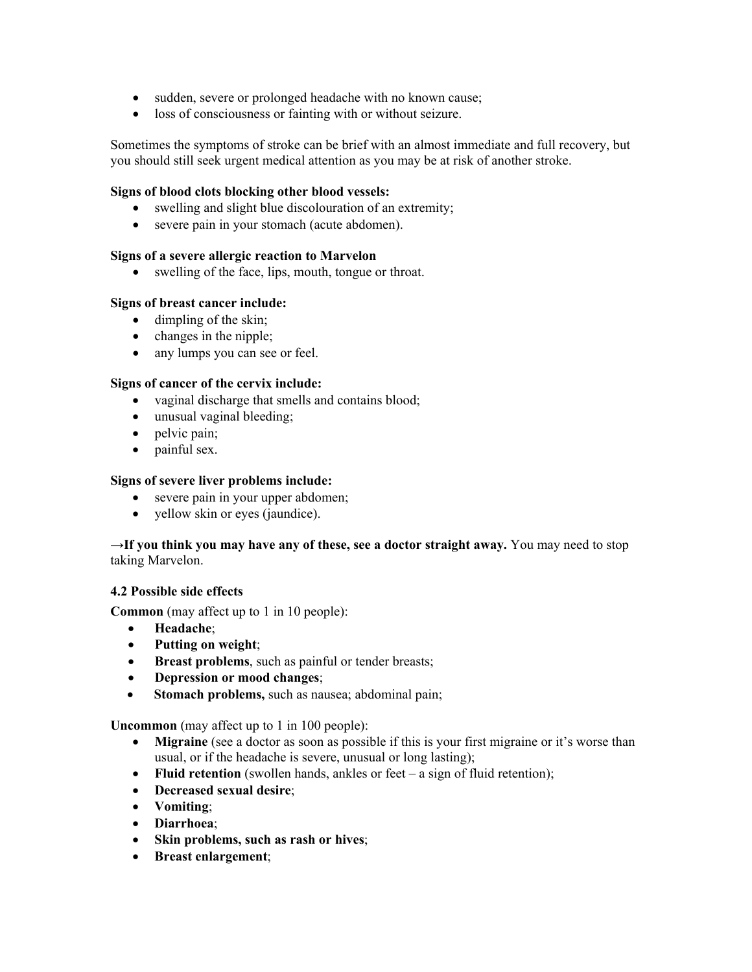- sudden, severe or prolonged headache with no known cause;
- loss of consciousness or fainting with or without seizure.

Sometimes the symptoms of stroke can be brief with an almost immediate and full recovery, but you should still seek urgent medical attention as you may be at risk of another stroke.

### **Signs of blood clots blocking other blood vessels:**

- swelling and slight blue discolouration of an extremity;
- severe pain in your stomach (acute abdomen).

#### **Signs of a severe allergic reaction to Marvelon**

• swelling of the face, lips, mouth, tongue or throat.

#### **Signs of breast cancer include:**

- dimpling of the skin;
- changes in the nipple;
- any lumps you can see or feel.

# **Signs of cancer of the cervix include:**

- vaginal discharge that smells and contains blood;
- unusual vaginal bleeding;
- pelvic pain;
- painful sex.

#### **Signs of severe liver problems include:**

- severe pain in your upper abdomen;
- yellow skin or eyes (jaundice).

#### →**If you think you may have any of these, see a doctor straight away.** You may need to stop taking Marvelon.

#### **4.2 Possible side effects**

**Common** (may affect up to 1 in 10 people):

- **Headache**;
- **Putting on weight**;
- **Breast problems**, such as painful or tender breasts;
- **Depression or mood changes**;
- **Stomach problems,** such as nausea; abdominal pain;

**Uncommon** (may affect up to 1 in 100 people):

- **Migraine** (see a doctor as soon as possible if this is your first migraine or it's worse than usual, or if the headache is severe, unusual or long lasting);
- **Fluid retention** (swollen hands, ankles or feet a sign of fluid retention);
- **Decreased sexual desire**;
- **Vomiting**;
- **Diarrhoea**;
- **Skin problems, such as rash or hives**;
- **Breast enlargement**;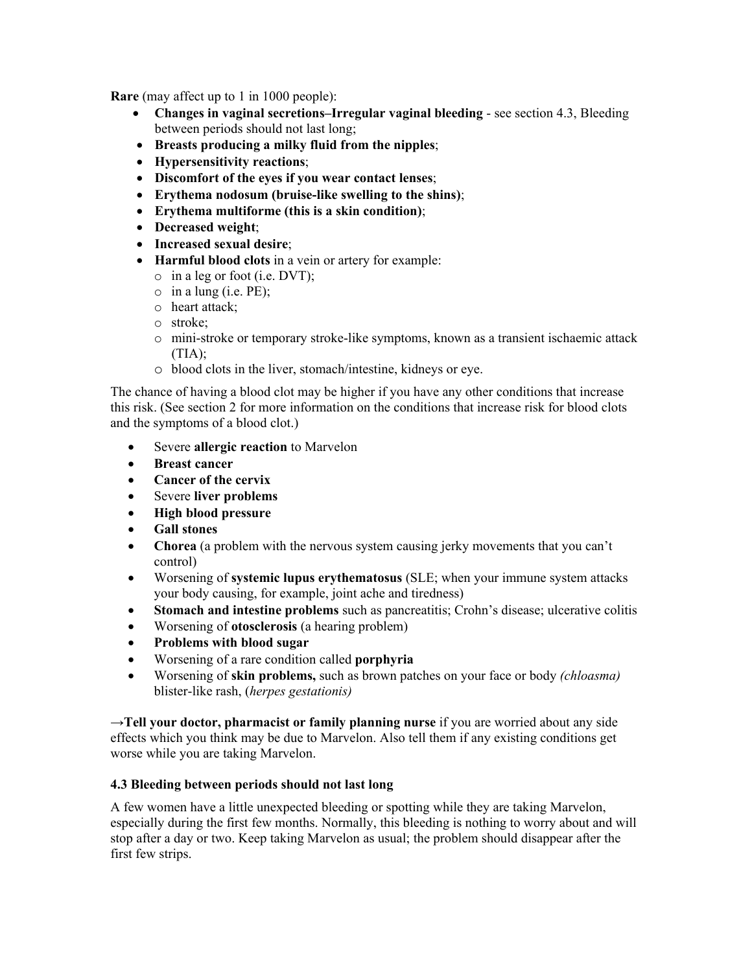**Rare** (may affect up to 1 in 1000 people):

- **Changes in vaginal secretions–Irregular vaginal bleeding**  see section 4.3, Bleeding between periods should not last long;
- **Breasts producing a milky fluid from the nipples**;
- **Hypersensitivity reactions**;
- **Discomfort of the eyes if you wear contact lenses**;
- **Erythema nodosum (bruise-like swelling to the shins)**;
- **Erythema multiforme (this is a skin condition)**;
- **Decreased weight**;
- **Increased sexual desire**;
- **Harmful blood clots** in a vein or artery for example:
	- o in a leg or foot (i.e. DVT);
	- $\circ$  in a lung (i.e. PE);
	- o heart attack;
	- o stroke;
	- o mini-stroke or temporary stroke-like symptoms, known as a transient ischaemic attack  $(TIA):$
	- o blood clots in the liver, stomach/intestine, kidneys or eye.

The chance of having a blood clot may be higher if you have any other conditions that increase this risk. (See section 2 for more information on the conditions that increase risk for blood clots and the symptoms of a blood clot.)

- Severe **allergic reaction** to Marvelon
- **Breast cancer**
- **Cancer of the cervix**
- Severe **liver problems**
- **High blood pressure**
- **Gall stones**
- **Chorea** (a problem with the nervous system causing jerky movements that you can't control)
- Worsening of **systemic lupus erythematosus** (SLE; when your immune system attacks your body causing, for example, joint ache and tiredness)
- **Stomach and intestine problems** such as pancreatitis; Crohn's disease; ulcerative colitis
- Worsening of **otosclerosis** (a hearing problem)
- **Problems with blood sugar**
- Worsening of a rare condition called **porphyria**
- Worsening of **skin problems,** such as brown patches on your face or body *(chloasma)* blister-like rash, (*herpes gestationis)*

→**Tell your doctor, pharmacist or family planning nurse** if you are worried about any side effects which you think may be due to Marvelon. Also tell them if any existing conditions get worse while you are taking Marvelon.

# **4.3 Bleeding between periods should not last long**

A few women have a little unexpected bleeding or spotting while they are taking Marvelon, especially during the first few months. Normally, this bleeding is nothing to worry about and will stop after a day or two. Keep taking Marvelon as usual; the problem should disappear after the first few strips.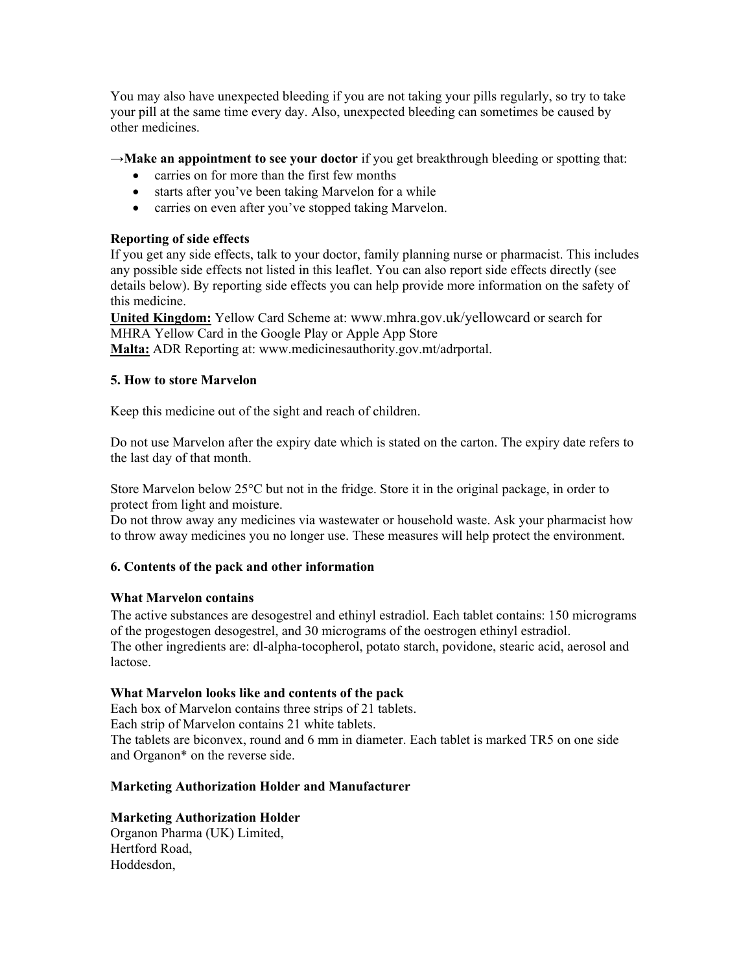You may also have unexpected bleeding if you are not taking your pills regularly, so try to take your pill at the same time every day. Also, unexpected bleeding can sometimes be caused by other medicines.

→**Make an appointment to see your doctor** if you get breakthrough bleeding or spotting that:

- carries on for more than the first few months
- starts after you've been taking Marvelon for a while
- carries on even after you've stopped taking Marvelon.

# **Reporting of side effects**

If you get any side effects, talk to your doctor, family planning nurse or pharmacist. This includes any possible side effects not listed in this leaflet. You can also report side effects directly (see details below). By reporting side effects you can help provide more information on the safety of this medicine.

**United Kingdom:** Yellow Card Scheme at: www.mhra.gov.uk/yellowcard or search for MHRA Yellow Card in the Google Play or Apple App Store

**Malta:** ADR Reporting at: [www.medicinesauthority.gov.mt/](http://www.medicinesauthority.gov.mt/)adrportal.

# **5. How to store Marvelon**

Keep this medicine out of the sight and reach of children.

Do not use Marvelon after the expiry date which is stated on the carton. The expiry date refers to the last day of that month.

Store Marvelon below  $25^{\circ}$ C but not in the fridge. Store it in the original package, in order to protect from light and moisture.

Do not throw away any medicines via wastewater or household waste. Ask your pharmacist how to throw away medicines you no longer use. These measures will help protect the environment.

# **6. Contents of the pack and other information**

# **What Marvelon contains**

The active substances are desogestrel and ethinyl estradiol. Each tablet contains: 150 micrograms of the progestogen desogestrel, and 30 micrograms of the oestrogen ethinyl estradiol. The other ingredients are: dl-alpha-tocopherol, potato starch, povidone, stearic acid, aerosol and lactose.

# **What Marvelon looks like and contents of the pack**

Each box of Marvelon contains three strips of 21 tablets. Each strip of Marvelon contains 21 white tablets. The tablets are biconvex, round and 6 mm in diameter. Each tablet is marked TR5 on one side and Organon\* on the reverse side.

# **Marketing Authorization Holder and Manufacturer**

# **Marketing Authorization Holder**

Organon Pharma (UK) Limited, Hertford Road, Hoddesdon,